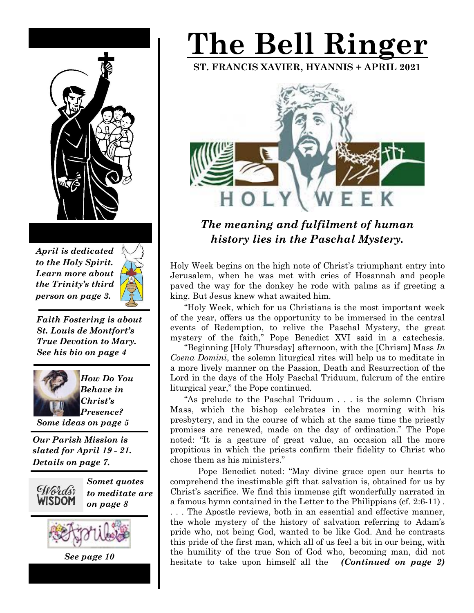

*April is dedicated to the Holy Spirit. Learn more about the Trinity's third person on page 3.*



*Faith Fostering is about St. Louis de Montfort's True Devotion to Mary. See his bio on page 4*



*How Do You Behave in Christ's Presence?* 

*Some ideas on page 5*

*Our Parish Mission is slated for April 19 - 21. Details on page 7.*



*Somet quotes to meditate are on page 8*



*See page 10*

# **The Bell Ringer**

**ST. FRANCIS XAVIER, HYANNIS + APRIL 2021** 



## *The meaning and fulfilment of human history lies in the Paschal Mystery.*

Holy Week begins on the high note of Christ's triumphant entry into Jerusalem, when he was met with cries of Hosannah and people paved the way for the donkey he rode with palms as if greeting a king. But Jesus knew what awaited him.

 "Holy Week, which for us Christians is the most important week of the year, offers us the opportunity to be immersed in the central events of Redemption, to relive the Paschal Mystery, the great mystery of the faith," Pope Benedict XVI said in a catechesis.

 "Beginning [Holy Thursday] afternoon, with the [Chrism] Mass *In Coena Domini*, the solemn liturgical rites will help us to meditate in a more lively manner on the Passion, Death and Resurrection of the Lord in the days of the Holy Paschal Triduum, fulcrum of the entire liturgical year," the Pope continued.

 "As prelude to the Paschal Triduum . . . is the solemn Chrism Mass, which the bishop celebrates in the morning with his presbytery, and in the course of which at the same time the priestly promises are renewed, made on the day of ordination." The Pope noted: "It is a gesture of great value, an occasion all the more propitious in which the priests confirm their fidelity to Christ who chose them as his ministers."

 Pope Benedict noted: "May divine grace open our hearts to comprehend the inestimable gift that salvation is, obtained for us by Christ's sacrifice. We find this immense gift wonderfully narrated in a famous hymn contained in the Letter to the Philippians (cf. 2:6-11) . . . . The Apostle reviews, both in an essential and effective manner, the whole mystery of the history of salvation referring to Adam's pride who, not being God, wanted to be like God. And he contrasts this pride of the first man, which all of us feel a bit in our being, with the humility of the true Son of God who, becoming man, did not hesitate to take upon himself all the *(Continued on page 2)*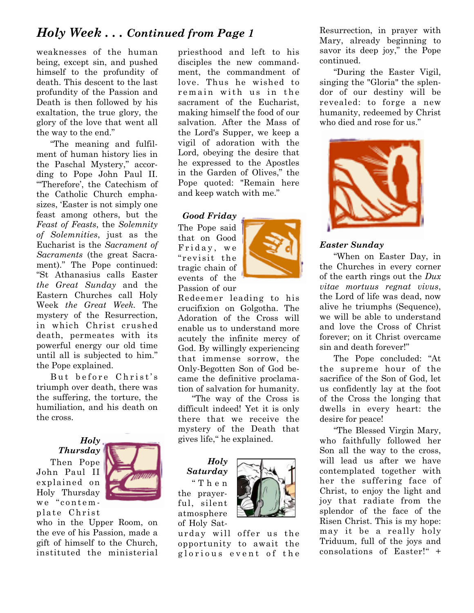### *Holy Week . . . Continued from Page 1*

weaknesses of the human being, except sin, and pushed himself to the profundity of death. This descent to the last profundity of the Passion and Death is then followed by his exaltation, the true glory, the glory of the love that went all the way to the end."

"The meaning and fulfilment of human history lies in the Paschal Mystery," according to Pope John Paul II. "'Therefore', the Catechism of the Catholic Church emphasizes, 'Easter is not simply one feast among others, but the *Feast of Feasts*, the *Solemnity of Solemnities*, just as the Eucharist is the *Sacrament of Sacraments* (the great Sacrament)." The Pope continued: "St Athanasius calls Easter *the Great Sunday* and the Eastern Churches call Holy Week *the Great Week.* The mystery of the Resurrection, in which Christ crushed death, permeates with its powerful energy our old time until all is subjected to him." the Pope explained.

But before Christ's triumph over death, there was the suffering, the torture, the humiliation, and his death on the cross.

*Holy* 

*Thursday*  Then Pope John Paul II explained on Holy Thursday we "contem-

plate Christ



who in the Upper Room, on the eve of his Passion, made a gift of himself to the Church, instituted the ministerial

priesthood and left to his disciples the new commandment, the commandment of love. Thus he wished to remain with us in the sacrament of the Eucharist, making himself the food of our salvation. After the Mass of the Lord's Supper, we keep a vigil of adoration with the Lord, obeying the desire that he expressed to the Apostles in the Garden of Olives," the Pope quoted: "Remain here and keep watch with me."

#### *Good Friday*

The Pope said that on Good Friday, we "revisit the tragic chain of events of the Passion of our



Redeemer leading to his crucifixion on Golgotha. The Adoration of the Cross will enable us to understand more acutely the infinite mercy of God. By willingly experiencing that immense sorrow, the Only-Begotten Son of God became the definitive proclamation of salvation for humanity.

 "The way of the Cross is difficult indeed! Yet it is only there that we receive the mystery of the Death that gives life," he explained.

*Holy Saturday* " T h e n the prayerful, silent atmosphere of Holy Sat-



urday will offer us the opportunity to await the glorious event of the

Resurrection, in prayer with Mary, already beginning to savor its deep joy," the Pope continued.

 "During the Easter Vigil, singing the "Gloria" the splendor of our destiny will be revealed: to forge a new humanity, redeemed by Christ who died and rose for us."



#### *Easter Sunday*

 "When on Easter Day, in the Churches in every corner of the earth rings out the *Dux vitae mortuus regnat vivus*, the Lord of life was dead, now alive he triumphs (Sequence), we will be able to understand and love the Cross of Christ forever; on it Christ overcame sin and death forever!"

 The Pope concluded: "At the supreme hour of the sacrifice of the Son of God, let us confidently lay at the foot of the Cross the longing that dwells in every heart: the desire for peace!

 "The Blessed Virgin Mary, who faithfully followed her Son all the way to the cross, will lead us after we have contemplated together with her the suffering face of Christ, to enjoy the light and joy that radiate from the splendor of the face of the Risen Christ. This is my hope: may it be a really holy Triduum, full of the joys and consolations of Easter!" +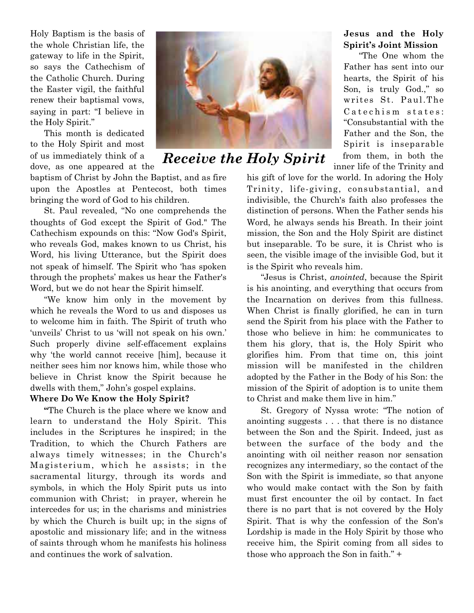Holy Baptism is the basis of the whole Christian life, the gateway to life in the Spirit, so says the Cathechism of the Catholic Church. During the Easter vigil, the faithful renew their baptismal vows, saying in part: "I believe in the Holy Spirit."

 This month is dedicated to the Holy Spirit and most of us immediately think of a dove, as one appeared at the

baptism of Christ by John the Baptist, and as fire upon the Apostles at Pentecost, both times bringing the word of God to his children.

 St. Paul revealed, "No one comprehends the thoughts of God except the Spirit of God." The Cathechism expounds on this: "Now God's Spirit, who reveals God, makes known to us Christ, his Word, his living Utterance, but the Spirit does not speak of himself. The Spirit who 'has spoken through the prophets' makes us hear the Father's Word, but we do not hear the Spirit himself.

 "We know him only in the movement by which he reveals the Word to us and disposes us to welcome him in faith. The Spirit of truth who 'unveils' Christ to us 'will not speak on his own.' Such properly divine self-effacement explains why 'the world cannot receive [him], because it neither sees him nor knows him, while those who believe in Christ know the Spirit because he dwells with them," John's gospel explains.

#### **Where Do We Know the Holy Spirit?**

 **"**The Church is the place where we know and learn to understand the Holy Spirit. This includes in the Scriptures he inspired; in the Tradition, to which the Church Fathers are always timely witnesses; in the Church's Magisterium, which he assists; in the sacramental liturgy, through its words and symbols, in which the Holy Spirit puts us into communion with Christ; in prayer, wherein he intercedes for us; in the charisms and ministries by which the Church is built up; in the signs of apostolic and missionary life; and in the witness of saints through whom he manifests his holiness and continues the work of salvation.



## *Receive the Holy Spirit*

#### **Jesus and the Holy Spirit's Joint Mission**

 "The One whom the Father has sent into our hearts, the Spirit of his Son, is truly God.," so writes St. Paul.The Catechism states: "Consubstantial with the Father and the Son, the Spirit is inseparable from them, in both the inner life of the Trinity and

his gift of love for the world. In adoring the Holy Trinity, life-giving, consubstantial, and indivisible, the Church's faith also professes the distinction of persons. When the Father sends his Word, he always sends his Breath. In their joint mission, the Son and the Holy Spirit are distinct but inseparable. To be sure, it is Christ who is seen, the visible image of the invisible God, but it is the Spirit who reveals him.

 "Jesus is Christ, *anointed*, because the Spirit is his anointing, and everything that occurs from the Incarnation on derives from this fullness. When Christ is finally glorified, he can in turn send the Spirit from his place with the Father to those who believe in him: he communicates to them his glory, that is, the Holy Spirit who glorifies him. From that time on, this joint mission will be manifested in the children adopted by the Father in the Body of his Son: the mission of the Spirit of adoption is to unite them to Christ and make them live in him."

 St. Gregory of Nyssa wrote: "The notion of anointing suggests . . . that there is no distance between the Son and the Spirit. Indeed, just as between the surface of the body and the anointing with oil neither reason nor sensation recognizes any intermediary, so the contact of the Son with the Spirit is immediate, so that anyone who would make contact with the Son by faith must first encounter the oil by contact. In fact there is no part that is not covered by the Holy Spirit. That is why the confession of the Son's Lordship is made in the Holy Spirit by those who receive him, the Spirit coming from all sides to those who approach the Son in faith." +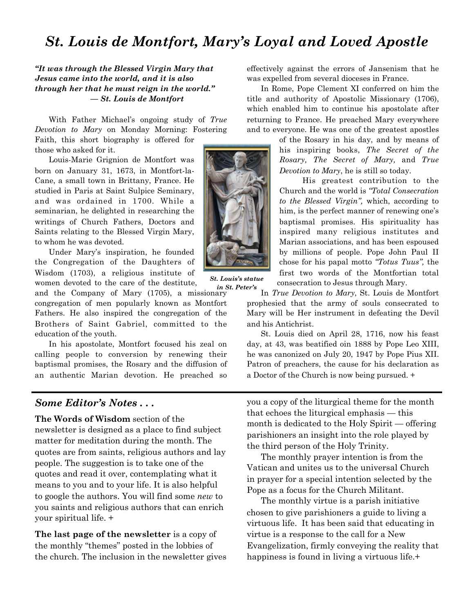## *St. Louis de Montfort, Mary's Loyal and Loved Apostle*

*"It was through the Blessed Virgin Mary that Jesus came into the world, and it is also through her that he must reign in the world." — St. Louis de Montfort* 

 With Father Michael's ongoing study of *True Devotion to Mary* on Monday Morning: Fostering

Faith, this short biography is offered for those who asked for it.

 Louis-Marie Grignion de Montfort was born on January 31, 1673, in Montfort-la-Cane, a small town in Brittany, France. He studied in Paris at Saint Sulpice Seminary, and was ordained in 1700. While a seminarian, he delighted in researching the writings of Church Fathers, Doctors and Saints relating to the Blessed Virgin Mary, to whom he was devoted.

 Under Mary's inspiration, he founded the Congregation of the Daughters of Wisdom (1703), a religious institute of women devoted to the care of the destitute,

and the Company of Mary (1705), a missionary congregation of men popularly known as Montfort Fathers. He also inspired the congregation of the Brothers of Saint Gabriel, committed to the education of the youth.

 In his apostolate, Montfort focused his zeal on calling people to conversion by renewing their baptismal promises, the Rosary and the diffusion of an authentic Marian devotion. He preached so



 In Rome, Pope Clement XI conferred on him the title and authority of Apostolic Missionary (1706), which enabled him to continue his apostolate after returning to France. He preached Mary everywhere and to everyone. He was one of the greatest apostles

> of the Rosary in his day, and by means of his inspiring books, *The Secret of the Rosary, The Secret of Mary,* and *True Devotion to Mary*, he is still so today.

> His greatest contribution to the Church and the world is *"Total Consecration to the Blessed Virgin",* which, according to him, is the perfect manner of renewing one's baptismal promises. His spirituality has inspired many religious institutes and Marian associations, and has been espoused by millions of people. Pope John Paul II chose for his papal motto *"Totus Tuus",* the first two words of the Montfortian total consecration to Jesus through Mary.

 In *True Devotion to Mary*, St. Louis de Montfort prophesied that the army of souls consecrated to Mary will be Her instrument in defeating the Devil and his Antichrist.

 St. Louis died on April 28, 1716, now his feast day, at 43, was beatified oin 1888 by Pope Leo XIII, he was canonized on July 20, 1947 by Pope Pius XII. Patron of preachers, the cause for his declaration as a Doctor of the Church is now being pursued. +

#### *Some Editor's Notes . . .*

**The Words of Wisdom** section of the newsletter is designed as a place to find subject matter for meditation during the month. The quotes are from saints, religious authors and lay people. The suggestion is to take one of the quotes and read it over, contemplating what it means to you and to your life. It is also helpful to google the authors. You will find some *new* to you saints and religious authors that can enrich your spiritual life. +

**The last page of the newsletter** is a copy of the monthly "themes" posted in the lobbies of the church. The inclusion in the newsletter gives you a copy of the liturgical theme for the month that echoes the liturgical emphasis — this month is dedicated to the Holy Spirit — offering parishioners an insight into the role played by the third person of the Holy Trinity.

 The monthly prayer intention is from the Vatican and unites us to the universal Church in prayer for a special intention selected by the Pope as a focus for the Church Militant.

 The monthly virtue is a parish initiative chosen to give parishioners a guide to living a virtuous life. It has been said that educating in virtue is a response to the call for a New Evangelization, firmly conveying the reality that happiness is found in living a virtuous life.<sup>+</sup>



*St. Louis's statue in St. Peter's*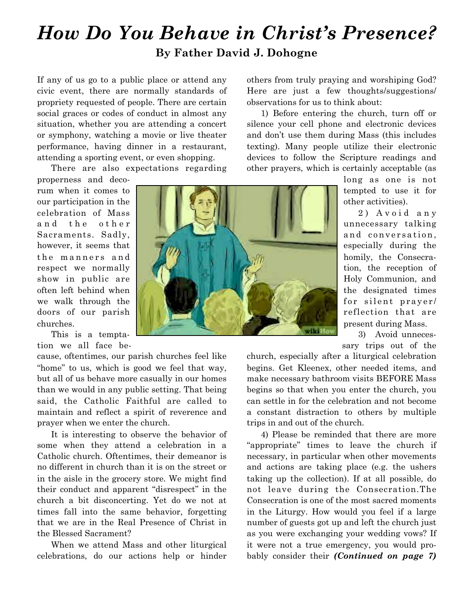## *How Do You Behave in Christ's Presence?* **By Father David J. Dohogne**

If any of us go to a public place or attend any civic event, there are normally standards of propriety requested of people. There are certain social graces or codes of conduct in almost any situation, whether you are attending a concert or symphony, watching a movie or live theater performance, having dinner in a restaurant, attending a sporting event, or even shopping.

There are also expectations regarding

properness and decorum when it comes to our participation in the celebration of Mass and the other Sacraments. Sadly, however, it seems that the manners and respect we normally show in public are often left behind when we walk through the doors of our parish churches.

 This is a temptation we all face be-

cause, oftentimes, our parish churches feel like "home" to us, which is good we feel that way, but all of us behave more casually in our homes than we would in any public setting. That being said, the Catholic Faithful are called to maintain and reflect a spirit of reverence and prayer when we enter the church.

 It is interesting to observe the behavior of some when they attend a celebration in a Catholic church. Oftentimes, their demeanor is no different in church than it is on the street or in the aisle in the grocery store. We might find their conduct and apparent "disrespect" in the church a bit disconcerting. Yet do we not at times fall into the same behavior, forgetting that we are in the Real Presence of Christ in the Blessed Sacrament?

 When we attend Mass and other liturgical celebrations, do our actions help or hinder others from truly praying and worshiping God? Here are just a few thoughts/suggestions/ observations for us to think about:

 1) Before entering the church, turn off or silence your cell phone and electronic devices and don't use them during Mass (this includes texting). Many people utilize their electronic devices to follow the Scripture readings and other prayers, which is certainly acceptable (as

> long as one is not tempted to use it for other activities).

> 2) Avoid any unnecessary talking and conversation, especially during the homily, the Consecration, the reception of Holy Communion, and the designated times for silent prayer/ reflection that are present during Mass.

 3) Avoid unnecessary trips out of the

church, especially after a liturgical celebration begins. Get Kleenex, other needed items, and make necessary bathroom visits BEFORE Mass begins so that when you enter the church, you can settle in for the celebration and not become a constant distraction to others by multiple trips in and out of the church.

 4) Please be reminded that there are more "appropriate" times to leave the church if necessary, in particular when other movements and actions are taking place (e.g. the ushers taking up the collection). If at all possible, do not leave during the Consecration.The Consecration is one of the most sacred moments in the Liturgy. How would you feel if a large number of guests got up and left the church just as you were exchanging your wedding vows? If it were not a true emergency, you would probably consider their *(Continued on page 7)*

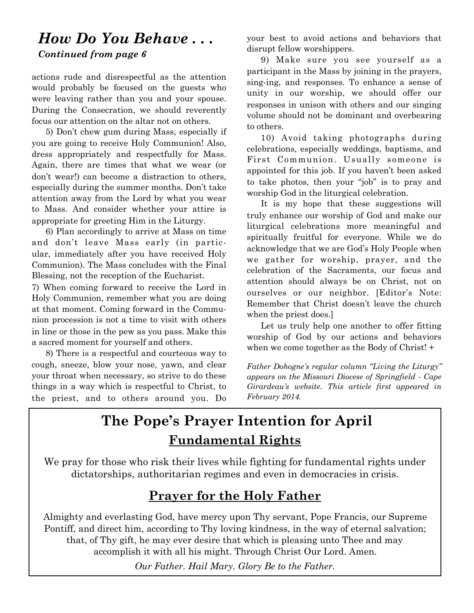## *How Do You Behave . . . Continued from page 6*

actions rude and disrespectful as the attention would probably be focused on the guests who were leaving rather than you and your spouse. During the Consecration, we should reverently focus our attention on the altar not on others.

 5) Don't chew gum during Mass, especially if you are going to receive Holy Communion! Also, dress appropriately and respectfully for Mass. Again, there are times that what we wear (or don't wear!) can become a distraction to others, especially during the summer months. Don't take attention away from the Lord by what you wear to Mass. And consider whether your attire is appropriate for greeting Him in the Liturgy.

 6) Plan accordingly to arrive at Mass on time and don't leave Mass early (in particular, immediately after you have received Holy Communion). The Mass concludes with the Final Blessing, not the reception of the Eucharist.

7) When coming forward to receive the Lord in Holy Communion, remember what you are doing at that moment. Coming forward in the Communion procession is not a time to visit with others in line or those in the pew as you pass. Make this a sacred moment for yourself and others.

 8) There is a respectful and courteous way to cough, sneeze, blow your nose, yawn, and clear your throat when necessary, so strive to do these things in a way which is respectful to Christ, to the priest, and to others around you. Do your best to avoid actions and behaviors that disrupt fellow worshippers.

 9) Make sure you see yourself as a participant in the Mass by joining in the prayers, sing-ing, and responses. To enhance a sense of unity in our worship, we should offer our responses in unison with others and our singing volume should not be dominant and overbearing to others.

 10) Avoid taking photographs during celebrations, especially weddings, baptisms, and First Communion. Usually someone is appointed for this job. If you haven't been asked to take photos, then your "job" is to pray and worship God in the liturgical celebration.

 It is my hope that these suggestions will truly enhance our worship of God and make our liturgical celebrations more meaningful and spiritually fruitful for everyone. While we do acknowledge that we are God's Holy People when we gather for worship, prayer, and the celebration of the Sacraments, our focus and attention should always be on Christ, not on ourselves or our neighbor. [Editor's Note: Remember that Christ doesn't leave the church when the priest does.]

 Let us truly help one another to offer fitting worship of God by our actions and behaviors when we come together as the Body of Christ! +

*Father Dohogne's regular column "Living the Liturgy" appears on the Missouri Diocese of Springfield - Cape Girardeau's website. This article first appeared in February 2014.*

## **The Pope's Prayer Intention for April Fundamental Rights**

We pray for those who risk their lives while fighting for fundamental rights under dictatorships, authoritarian regimes and even in democracies in crisis.

## **Prayer for the Holy Father**

Almighty and everlasting God, have mercy upon Thy servant, Pope Francis, our Supreme Pontiff, and direct him, according to Thy loving kindness, in the way of eternal salvation; that, of Thy gift, he may ever desire that which is pleasing unto Thee and may accomplish it with all his might. Through Christ Our Lord. Amen.

*Our Father. Hail Mary. Glory Be to the Father.*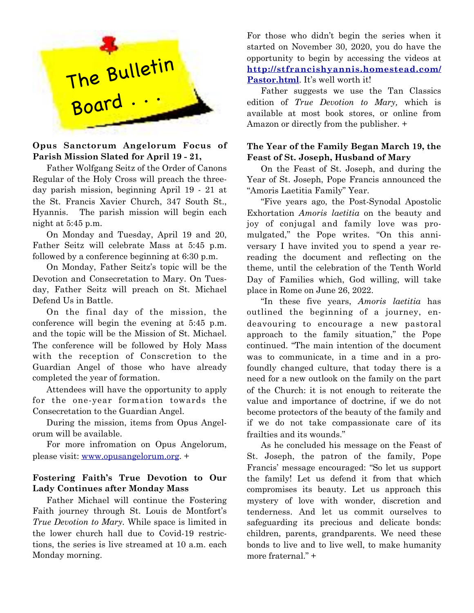

#### **Opus Sanctorum Angelorum Focus of Parish Mission Slated for April 19 - 21,**

Father Wolfgang Seitz of the Order of Canons Regular of the Holy Cross will preach the threeday parish mission, beginning April 19 - 21 at the St. Francis Xavier Church, 347 South St., Hyannis. The parish mission will begin each night at 5:45 p.m.

 On Monday and Tuesday, April 19 and 20, Father Seitz will celebrate Mass at 5:45 p.m. followed by a conference beginning at 6:30 p.m.

 On Monday, Father Seitz's topic will be the Devotion and Consecretation to Mary. On Tuesday, Father Seitz will preach on St. Michael Defend Us in Battle.

 On the final day of the mission, the conference will begin the evening at 5:45 p.m. and the topic will be the Mission of St. Michael. The conference will be followed by Holy Mass with the reception of Conscretion to the Guardian Angel of those who have already completed the year of formation.

 Attendees will have the opportunity to apply for the one-year formation towards the Consecretation to the Guardian Angel.

 During the mission, items from Opus Angelorum will be available.

 For more infromation on Opus Angelorum, please visit: [www.opusangelorum.org](http://www.opusangelorum.org). +

#### **Fostering Faith's True Devotion to Our Lady Continues after Monday Mass**

Father Michael will continue the Fostering Faith journey through St. Louis de Montfort's *True Devotion to Mary.* While space is limited in the lower church hall due to Covid-19 restrictions, the series is live streamed at 10 a.m. each Monday morning.

For those who didn't begin the series when it started on November 30, 2020, you do have the opportunity to begin by accessing the videos at **<http://stfra>[ncishyannis.homestead.com/](http://ncishyannis.homestead.com/Pastor.html)** [Pastor.html](http://ncishyannis.homestead.com/Pastor.html). It's well worth it!

 Father suggests we use the Tan Classics edition of *True Devotion to Mary,* which is available at most book stores, or online from Amazon or directly from the publisher. +

#### **The Year of the Family Began March 19, the Feast of St. Joseph, Husband of Mary**

On the Feast of St. Joseph, and during the Year of St. Joseph, Pope Francis announced the "Amoris Laetitia Family" Year.

 "Five years ago, the Post-Synodal Apostolic Exhortation *Amoris laetitia* on the beauty and joy of conjugal and family love was promulgated," the Pope writes. "On this anniversary I have invited you to spend a year rereading the document and reflecting on the theme, until the celebration of the Tenth World Day of Families which, God willing, will take place in Rome on June 26, 2022.

"In these five years, *Amoris laetitia* has outlined the beginning of a journey, endeavouring to encourage a new pastoral approach to the family situation," the Pope continued. "The main intention of the document was to communicate, in a time and in a profoundly changed culture, that today there is a need for a new outlook on the family on the part of the Church: it is not enough to reiterate the value and importance of doctrine, if we do not become protectors of the beauty of the family and if we do not take compassionate care of its frailties and its wounds."

 As he concluded his message on the Feast of St. Joseph, the patron of the family, Pope Francis' message encouraged: "So let us support the family! Let us defend it from that which compromises its beauty. Let us approach this mystery of love with wonder, discretion and tenderness. And let us commit ourselves to safeguarding its precious and delicate bonds: children, parents, grandparents. We need these bonds to live and to live well, to make humanity more fraternal." +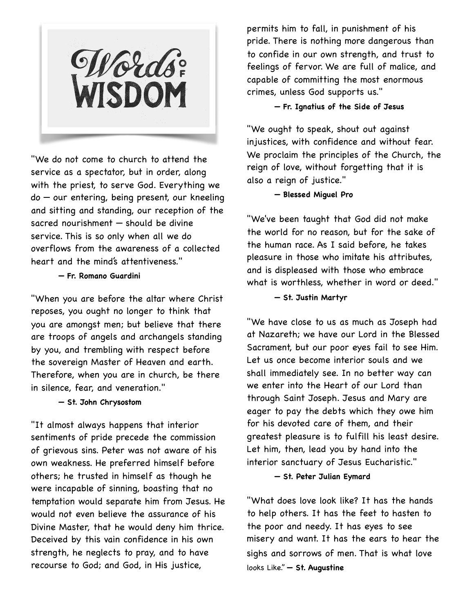Words:<br>WISDOM

"We do not come to church to attend the service as a spectator, but in order, along with the priest, to serve God. Everything we do — our entering, being present, our kneeling and sitting and standing, our reception of the sacred nourishment — should be divine service. This is so only when all we do overflows from the awareness of a collected heart and the mind's attentiveness."

#### **— Fr. Romano Guardini**

"When you are before the altar where Christ reposes, you ought no longer to think that you are amongst men; but believe that there are troops of angels and archangels standing by you, and trembling with respect before the sovereign Master of Heaven and earth. Therefore, when you are in church, be there in silence, fear, and veneration."

#### **— St. John Chrysostom**

"It almost always happens that interior sentiments of pride precede the commission of grievous sins. Peter was not aware of his own weakness. He preferred himself before others; he trusted in himself as though he were incapable of sinning, boasting that no temptation would separate him from Jesus. He would not even believe the assurance of his Divine Master, that he would deny him thrice. Deceived by this vain confidence in his own strength, he neglects to pray, and to have recourse to God; and God, in His justice,

permits him to fall, in punishment of his pride. There is nothing more dangerous than to confide in our own strength, and trust to feelings of fervor. We are full of malice, and capable of committing the most enormous crimes, unless God supports us."

#### **— Fr. Ignatius of the Side of Jesus**

"We ought to speak, shout out against injustices, with confidence and without fear. We proclaim the principles of the Church, the reign of love, without forgetting that it is also a reign of justice."

#### **— Blessed Miguel Pro**

"We've been taught that God did not make the world for no reason, but for the sake of the human race. As I said before, he takes pleasure in those who imitate his attributes, and is displeased with those who embrace what is worthless, whether in word or deed."

#### **— St. Justin Martyr**

"We have close to us as much as Joseph had at Nazareth; we have our Lord in the Blessed Sacrament, but our poor eyes fail to see Him. Let us once become interior souls and we shall immediately see. In no better way can we enter into the Heart of our Lord than through Saint Joseph. Jesus and Mary are eager to pay the debts which they owe him for his devoted care of them, and their greatest pleasure is to fulfill his least desire. Let him, then, lead you by hand into the interior sanctuary of Jesus Eucharistic."

#### **— St. Peter Julian Eymard**

"What does love look like? It has the hands to help others. It has the feet to hasten to the poor and needy. It has eyes to see misery and want. It has the ears to hear the sighs and sorrows of men. That is what love looks Like." **— St. Augustine**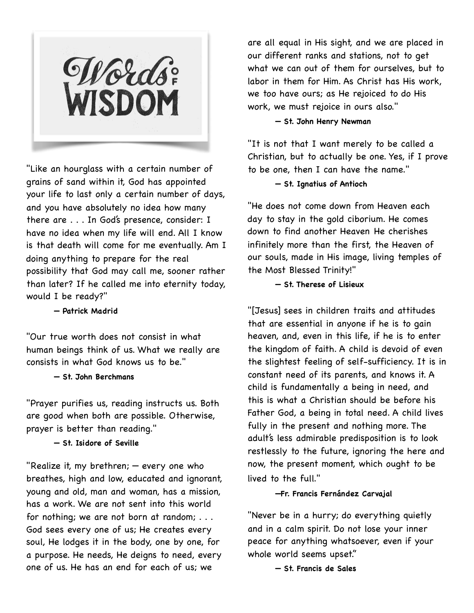Words

"Like an hourglass with a certain number of grains of sand within it, God has appointed your life to last only a certain number of days, and you have absolutely no idea how many there are . . . In God's presence, consider: I have no idea when my life will end. All I know is that death will come for me eventually. Am I doing anything to prepare for the real possibility that God may call me, sooner rather than later? If he called me into eternity today, would I be ready?"

**— Patrick Madrid**

"Our true worth does not consist in what human beings think of us. What we really are consists in what God knows us to be."

#### **— St. John Berchmans**

"Prayer purifies us, reading instructs us. Both are good when both are possible. Otherwise, prayer is better than reading."

#### **— St. Isidore of Seville**

"Realize it, my brethren; — every one who breathes, high and low, educated and ignorant, young and old, man and woman, has a mission, has a work. We are not sent into this world for nothing; we are not born at random; . . . God sees every one of us; He creates every soul, He lodges it in the body, one by one, for a purpose. He needs, He deigns to need, every one of us. He has an end for each of us; we

are all equal in His sight, and we are placed in our different ranks and stations, not to get what we can out of them for ourselves, but to labor in them for Him. As Christ has His work, we too have ours; as He rejoiced to do His work, we must rejoice in ours also."

#### **— St. John Henry Newman**

"It is not that I want merely to be called a Christian, but to actually be one. Yes, if I prove to be one, then I can have the name."

#### **— St. Ignatius of Antioch**

"He does not come down from Heaven each day to stay in the gold ciborium. He comes down to find another Heaven He cherishes infinitely more than the first, the Heaven of our souls, made in His image, living temples of the Most Blessed Trinity!"

#### **— St. Therese of Lisieux**

"[Jesus] sees in children traits and attitudes that are essential in anyone if he is to gain heaven, and, even in this life, if he is to enter the kingdom of faith. A child is devoid of even the slightest feeling of self-sufficiency. It is in constant need of its parents, and knows it. A child is fundamentally a being in need, and this is what a Christian should be before his Father God, a being in total need. A child lives fully in the present and nothing more. The adult's less admirable predisposition is to look restlessly to the future, ignoring the here and now, the present moment, which ought to be lived to the full."

#### **—Fr. Francis Fernández Carvajal**

"Never be in a hurry; do everything quietly and in a calm spirit. Do not lose your inner peace for anything whatsoever, even if your whole world seems upset."

**— St. Francis de Sales**